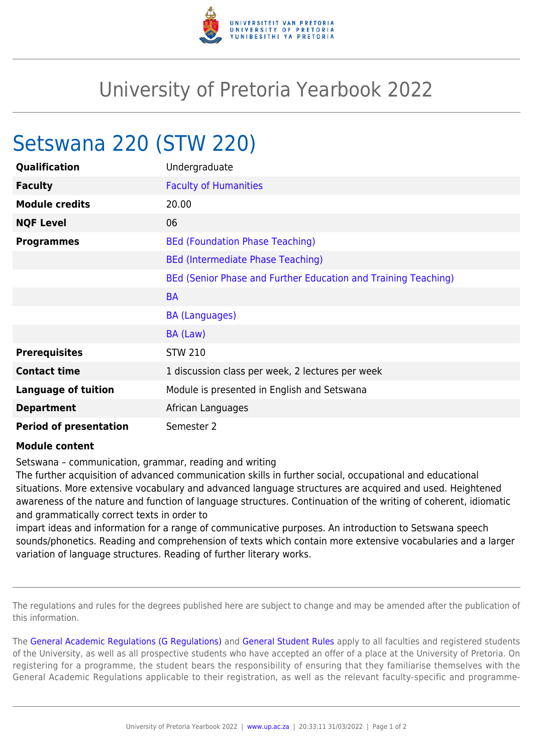

## University of Pretoria Yearbook 2022

## Setswana 220 (STW 220)

| Qualification                 | Undergraduate                                                  |
|-------------------------------|----------------------------------------------------------------|
| <b>Faculty</b>                | <b>Faculty of Humanities</b>                                   |
| <b>Module credits</b>         | 20.00                                                          |
| <b>NQF Level</b>              | 06                                                             |
| <b>Programmes</b>             | <b>BEd (Foundation Phase Teaching)</b>                         |
|                               | <b>BEd (Intermediate Phase Teaching)</b>                       |
|                               | BEd (Senior Phase and Further Education and Training Teaching) |
|                               | <b>BA</b>                                                      |
|                               | <b>BA (Languages)</b>                                          |
|                               | BA (Law)                                                       |
| <b>Prerequisites</b>          | <b>STW 210</b>                                                 |
| <b>Contact time</b>           | 1 discussion class per week, 2 lectures per week               |
| <b>Language of tuition</b>    | Module is presented in English and Setswana                    |
| <b>Department</b>             | African Languages                                              |
| <b>Period of presentation</b> | Semester 2                                                     |

## **Module content**

Setswana – communication, grammar, reading and writing

The further acquisition of advanced communication skills in further social, occupational and educational situations. More extensive vocabulary and advanced language structures are acquired and used. Heightened awareness of the nature and function of language structures. Continuation of the writing of coherent, idiomatic and grammatically correct texts in order to

impart ideas and information for a range of communicative purposes. An introduction to Setswana speech sounds/phonetics. Reading and comprehension of texts which contain more extensive vocabularies and a larger variation of language structures. Reading of further literary works.

The regulations and rules for the degrees published here are subject to change and may be amended after the publication of this information.

The [General Academic Regulations \(G Regulations\)](https://www.up.ac.za/faculty-of-education/yearbooks/2022/rules/view/REG) and [General Student Rules](https://www.up.ac.za/faculty-of-education/yearbooks/2022/rules/view/RUL) apply to all faculties and registered students of the University, as well as all prospective students who have accepted an offer of a place at the University of Pretoria. On registering for a programme, the student bears the responsibility of ensuring that they familiarise themselves with the General Academic Regulations applicable to their registration, as well as the relevant faculty-specific and programme-